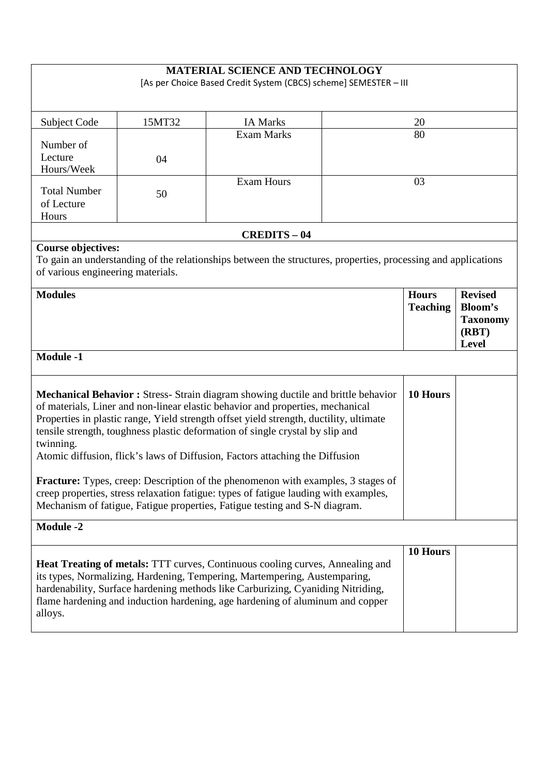[As per Choice Based Credit System (CBCS) scheme] SEMESTER – III

| <b>Subject Code</b>                                                                                                                                                                                                                                                                                                                                                                                                                                                                                                                                                                                                                                                                                                      | 15MT32 | <b>IA Marks</b>                                                                                               |  | 20                              |                                                     |
|--------------------------------------------------------------------------------------------------------------------------------------------------------------------------------------------------------------------------------------------------------------------------------------------------------------------------------------------------------------------------------------------------------------------------------------------------------------------------------------------------------------------------------------------------------------------------------------------------------------------------------------------------------------------------------------------------------------------------|--------|---------------------------------------------------------------------------------------------------------------|--|---------------------------------|-----------------------------------------------------|
|                                                                                                                                                                                                                                                                                                                                                                                                                                                                                                                                                                                                                                                                                                                          |        | <b>Exam Marks</b>                                                                                             |  | 80                              |                                                     |
| Number of<br>Lecture                                                                                                                                                                                                                                                                                                                                                                                                                                                                                                                                                                                                                                                                                                     | 04     |                                                                                                               |  |                                 |                                                     |
| Hours/Week                                                                                                                                                                                                                                                                                                                                                                                                                                                                                                                                                                                                                                                                                                               |        |                                                                                                               |  |                                 |                                                     |
| <b>Total Number</b>                                                                                                                                                                                                                                                                                                                                                                                                                                                                                                                                                                                                                                                                                                      |        | Exam Hours                                                                                                    |  | 03                              |                                                     |
| of Lecture                                                                                                                                                                                                                                                                                                                                                                                                                                                                                                                                                                                                                                                                                                               | 50     |                                                                                                               |  |                                 |                                                     |
| Hours                                                                                                                                                                                                                                                                                                                                                                                                                                                                                                                                                                                                                                                                                                                    |        |                                                                                                               |  |                                 |                                                     |
|                                                                                                                                                                                                                                                                                                                                                                                                                                                                                                                                                                                                                                                                                                                          |        | <b>CREDITS-04</b>                                                                                             |  |                                 |                                                     |
| <b>Course objectives:</b><br>of various engineering materials.                                                                                                                                                                                                                                                                                                                                                                                                                                                                                                                                                                                                                                                           |        | To gain an understanding of the relationships between the structures, properties, processing and applications |  |                                 |                                                     |
| <b>Modules</b>                                                                                                                                                                                                                                                                                                                                                                                                                                                                                                                                                                                                                                                                                                           |        |                                                                                                               |  | <b>Hours</b><br><b>Teaching</b> | <b>Revised</b>                                      |
|                                                                                                                                                                                                                                                                                                                                                                                                                                                                                                                                                                                                                                                                                                                          |        |                                                                                                               |  |                                 | Bloom's<br><b>Taxonomy</b><br>(RBT)<br><b>Level</b> |
| <b>Module -1</b>                                                                                                                                                                                                                                                                                                                                                                                                                                                                                                                                                                                                                                                                                                         |        |                                                                                                               |  |                                 |                                                     |
| Mechanical Behavior : Stress- Strain diagram showing ductile and brittle behavior<br>10 Hours<br>of materials, Liner and non-linear elastic behavior and properties, mechanical<br>Properties in plastic range, Yield strength offset yield strength, ductility, ultimate<br>tensile strength, toughness plastic deformation of single crystal by slip and<br>twinning.<br>Atomic diffusion, flick's laws of Diffusion, Factors attaching the Diffusion<br><b>Fracture:</b> Types, creep: Description of the phenomenon with examples, 3 stages of<br>creep properties, stress relaxation fatigue: types of fatigue lauding with examples,<br>Mechanism of fatigue, Fatigue properties, Fatigue testing and S-N diagram. |        |                                                                                                               |  |                                 |                                                     |
| <b>Module -2</b>                                                                                                                                                                                                                                                                                                                                                                                                                                                                                                                                                                                                                                                                                                         |        |                                                                                                               |  |                                 |                                                     |
| <b>Heat Treating of metals:</b> TTT curves, Continuous cooling curves, Annealing and<br>its types, Normalizing, Hardening, Tempering, Martempering, Austemparing,<br>hardenability, Surface hardening methods like Carburizing, Cyaniding Nitriding,<br>flame hardening and induction hardening, age hardening of aluminum and copper<br>alloys.                                                                                                                                                                                                                                                                                                                                                                         |        |                                                                                                               |  | 10 Hours                        |                                                     |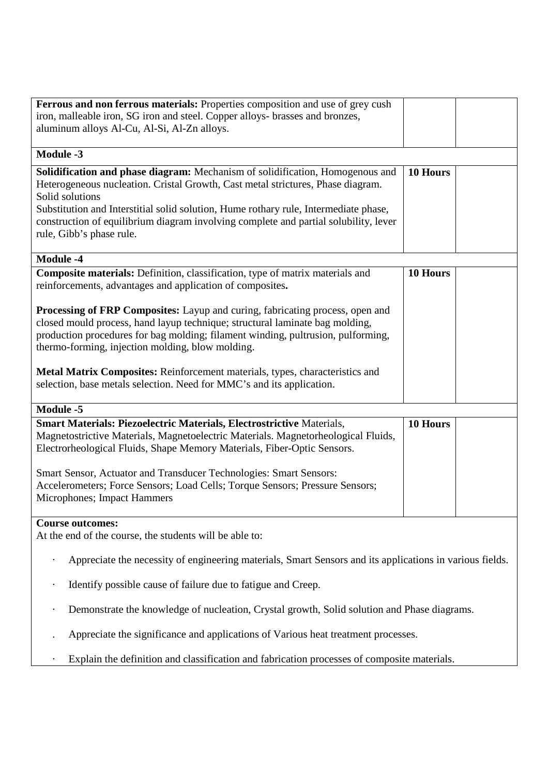| Ferrous and non ferrous materials: Properties composition and use of grey cush                           |          |  |  |
|----------------------------------------------------------------------------------------------------------|----------|--|--|
| iron, malleable iron, SG iron and steel. Copper alloys- brasses and bronzes,                             |          |  |  |
| aluminum alloys Al-Cu, Al-Si, Al-Zn alloys.                                                              |          |  |  |
|                                                                                                          |          |  |  |
| <b>Module -3</b>                                                                                         |          |  |  |
| Solidification and phase diagram: Mechanism of solidification, Homogenous and                            | 10 Hours |  |  |
| Heterogeneous nucleation. Cristal Growth, Cast metal strictures, Phase diagram.                          |          |  |  |
| Solid solutions                                                                                          |          |  |  |
| Substitution and Interstitial solid solution, Hume rothary rule, Intermediate phase,                     |          |  |  |
| construction of equilibrium diagram involving complete and partial solubility, lever                     |          |  |  |
| rule, Gibb's phase rule.                                                                                 |          |  |  |
|                                                                                                          |          |  |  |
| <b>Module -4</b>                                                                                         |          |  |  |
| <b>Composite materials:</b> Definition, classification, type of matrix materials and                     | 10 Hours |  |  |
| reinforcements, advantages and application of composites.                                                |          |  |  |
|                                                                                                          |          |  |  |
| Processing of FRP Composites: Layup and curing, fabricating process, open and                            |          |  |  |
| closed mould process, hand layup technique; structural laminate bag molding,                             |          |  |  |
| production procedures for bag molding; filament winding, pultrusion, pulforming,                         |          |  |  |
| thermo-forming, injection molding, blow molding.                                                         |          |  |  |
|                                                                                                          |          |  |  |
| Metal Matrix Composites: Reinforcement materials, types, characteristics and                             |          |  |  |
| selection, base metals selection. Need for MMC's and its application.                                    |          |  |  |
|                                                                                                          |          |  |  |
| <b>Module -5</b>                                                                                         |          |  |  |
| <b>Smart Materials: Piezoelectric Materials, Electrostrictive Materials,</b>                             | 10 Hours |  |  |
| Magnetostrictive Materials, Magnetoelectric Materials. Magnetorheological Fluids,                        |          |  |  |
| Electrorheological Fluids, Shape Memory Materials, Fiber-Optic Sensors.                                  |          |  |  |
|                                                                                                          |          |  |  |
| Smart Sensor, Actuator and Transducer Technologies: Smart Sensors:                                       |          |  |  |
| Accelerometers; Force Sensors; Load Cells; Torque Sensors; Pressure Sensors;                             |          |  |  |
| Microphones; Impact Hammers                                                                              |          |  |  |
|                                                                                                          |          |  |  |
| <b>Course outcomes:</b>                                                                                  |          |  |  |
| At the end of the course, the students will be able to:                                                  |          |  |  |
|                                                                                                          |          |  |  |
| Appreciate the necessity of engineering materials, Smart Sensors and its applications in various fields. |          |  |  |
| Identify possible cause of failure due to fatigue and Creep.                                             |          |  |  |
| Demonstrate the knowledge of nucleation, Crystal growth, Solid solution and Phase diagrams.              |          |  |  |
| Appreciate the significance and applications of Various heat treatment processes.                        |          |  |  |
| Explain the definition and classification and fabrication processes of composite materials.              |          |  |  |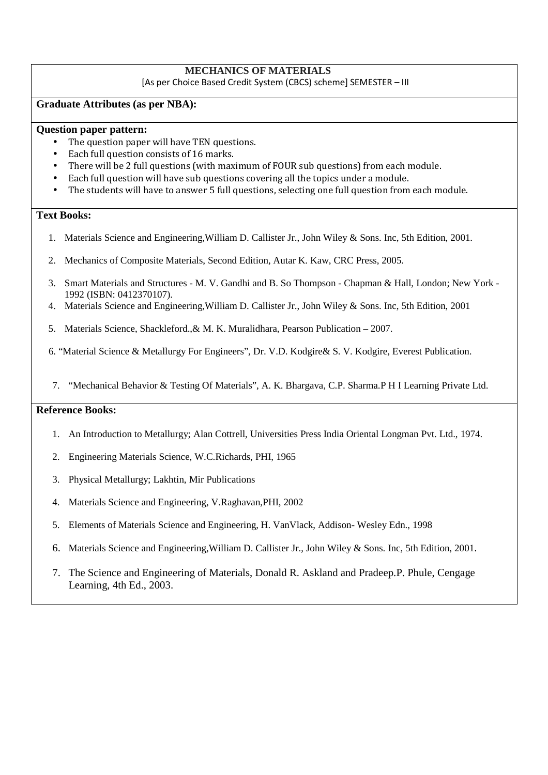# **MECHANICS OF MATERIALS**

[As per Choice Based Credit System (CBCS) scheme] SEMESTER – III

## **Graduate Attributes (as per NBA):**

## **Question paper pattern:**

- The question paper will have TEN questions.
- Each full question consists of 16 marks.
- There will be 2 full questions (with maximum of FOUR sub questions) from each module.
- Each full question will have sub questions covering all the topics under a module.
- The students will have to answer 5 full questions, selecting one full question from each module.

# **Text Books:**

- 1. Materials Science and Engineering,William D. Callister Jr., John Wiley & Sons. Inc, 5th Edition, 2001.
- 2. Mechanics of Composite Materials, Second Edition, Autar K. Kaw, CRC Press, 2005.
- 3. Smart Materials and Structures M. V. Gandhi and B. So Thompson Chapman & Hall, London; New York 1992 (ISBN: 0412370107).
- 4. Materials Science and Engineering,William D. Callister Jr., John Wiley & Sons. Inc, 5th Edition, 2001
- 5. Materials Science, Shackleford.,& M. K. Muralidhara, Pearson Publication 2007.

6. "Material Science & Metallurgy For Engineers", Dr. V.D. Kodgire& S. V. Kodgire, Everest Publication.

7. "Mechanical Behavior & Testing Of Materials", A. K. Bhargava, C.P. Sharma.P H I Learning Private Ltd.

# **Reference Books:**

- 1. An Introduction to Metallurgy; Alan Cottrell, Universities Press India Oriental Longman Pvt. Ltd., 1974.
- 2. Engineering Materials Science, W.C.Richards, PHI, 1965
- 3. Physical Metallurgy; Lakhtin, Mir Publications
- 4. Materials Science and Engineering, V.Raghavan,PHI, 2002
- 5. Elements of Materials Science and Engineering, H. VanVlack, Addison- Wesley Edn., 1998
- 6. Materials Science and Engineering,William D. Callister Jr., John Wiley & Sons. Inc, 5th Edition, 2001.
- 7. The Science and Engineering of Materials, Donald R. Askland and Pradeep.P. Phule, Cengage Learning, 4th Ed., 2003.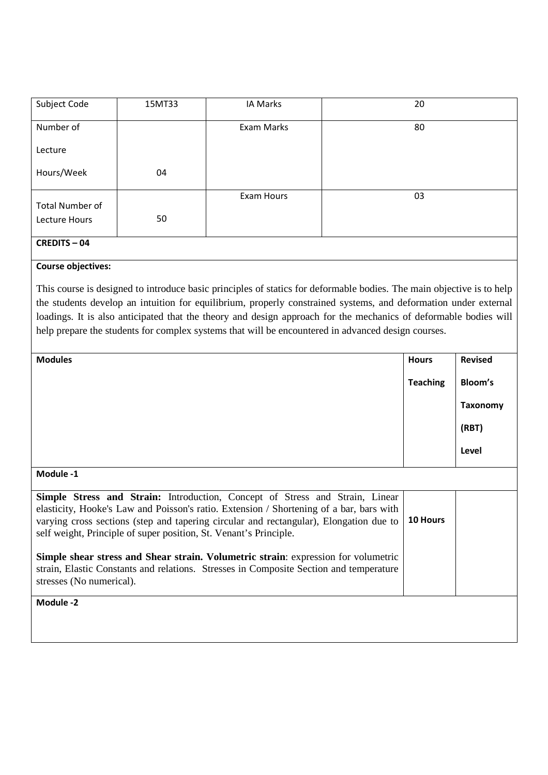| Subject Code    | 15MT33 | IA Marks   | 20 |
|-----------------|--------|------------|----|
| Number of       |        | Exam Marks | 80 |
| Lecture         |        |            |    |
| Hours/Week      | 04     |            |    |
|                 |        | Exam Hours | 03 |
| Total Number of |        |            |    |
| Lecture Hours   | 50     |            |    |
| CREDITE 04      |        |            |    |

## **CREDITS – 04**

## **Course objectives:**

This course is designed to introduce basic principles of statics for deformable bodies. The main objective is to help the students develop an intuition for equilibrium, properly constrained systems, and deformation under external loadings. It is also anticipated that the theory and design approach for the mechanics of deformable bodies will help prepare the students for complex systems that will be encountered in advanced design courses.

| <b>Modules</b>                                                                                                                                                                                                                                                                                                                                | <b>Hours</b>    | <b>Revised</b>  |
|-----------------------------------------------------------------------------------------------------------------------------------------------------------------------------------------------------------------------------------------------------------------------------------------------------------------------------------------------|-----------------|-----------------|
|                                                                                                                                                                                                                                                                                                                                               | <b>Teaching</b> | Bloom's         |
|                                                                                                                                                                                                                                                                                                                                               |                 | <b>Taxonomy</b> |
|                                                                                                                                                                                                                                                                                                                                               |                 | (RBT)           |
|                                                                                                                                                                                                                                                                                                                                               |                 | Level           |
| Module -1                                                                                                                                                                                                                                                                                                                                     |                 |                 |
| <b>Simple Stress and Strain:</b> Introduction, Concept of Stress and Strain, Linear<br>elasticity, Hooke's Law and Poisson's ratio. Extension / Shortening of a bar, bars with<br>varying cross sections (step and tapering circular and rectangular), Elongation due to<br>self weight, Principle of super position, St. Venant's Principle. | 10 Hours        |                 |
| <b>Simple shear stress and Shear strain. Volumetric strain:</b> expression for volumetric<br>strain, Elastic Constants and relations. Stresses in Composite Section and temperature<br>stresses (No numerical).                                                                                                                               |                 |                 |
| Module -2                                                                                                                                                                                                                                                                                                                                     |                 |                 |
|                                                                                                                                                                                                                                                                                                                                               |                 |                 |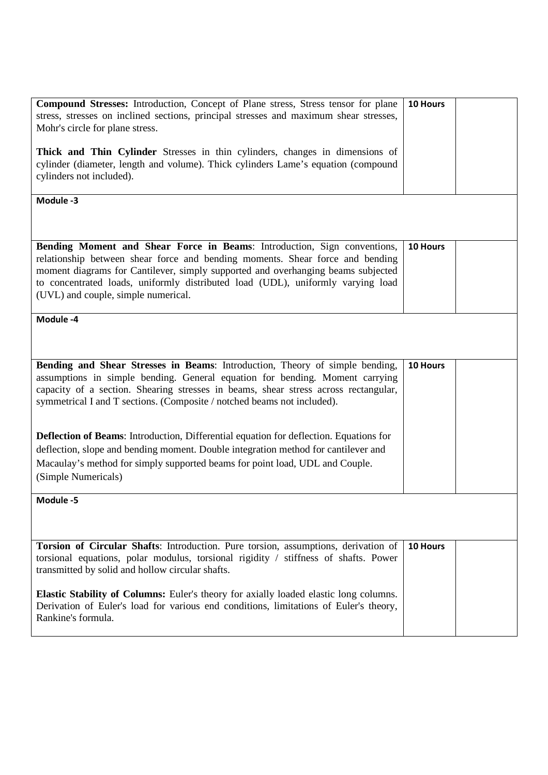| <b>Compound Stresses:</b> Introduction, Concept of Plane stress, Stress tensor for plane<br>stress, stresses on inclined sections, principal stresses and maximum shear stresses,<br>Mohr's circle for plane stress.<br>Thick and Thin Cylinder Stresses in thin cylinders, changes in dimensions of<br>cylinder (diameter, length and volume). Thick cylinders Lame's equation (compound<br>cylinders not included). | 10 Hours |
|-----------------------------------------------------------------------------------------------------------------------------------------------------------------------------------------------------------------------------------------------------------------------------------------------------------------------------------------------------------------------------------------------------------------------|----------|
| Module -3                                                                                                                                                                                                                                                                                                                                                                                                             |          |
| Bending Moment and Shear Force in Beams: Introduction, Sign conventions,<br>relationship between shear force and bending moments. Shear force and bending<br>moment diagrams for Cantilever, simply supported and overhanging beams subjected<br>to concentrated loads, uniformly distributed load (UDL), uniformly varying load<br>(UVL) and couple, simple numerical.                                               | 10 Hours |
| Module -4                                                                                                                                                                                                                                                                                                                                                                                                             |          |
| Bending and Shear Stresses in Beams: Introduction, Theory of simple bending,<br>assumptions in simple bending. General equation for bending. Moment carrying<br>capacity of a section. Shearing stresses in beams, shear stress across rectangular,<br>symmetrical I and T sections. (Composite / notched beams not included).                                                                                        | 10 Hours |
| <b>Deflection of Beams:</b> Introduction, Differential equation for deflection. Equations for<br>deflection, slope and bending moment. Double integration method for cantilever and<br>Macaulay's method for simply supported beams for point load, UDL and Couple.<br>(Simple Numericals)                                                                                                                            |          |
| Module -5                                                                                                                                                                                                                                                                                                                                                                                                             |          |
| Torsion of Circular Shafts: Introduction. Pure torsion, assumptions, derivation of<br>torsional equations, polar modulus, torsional rigidity / stiffness of shafts. Power<br>transmitted by solid and hollow circular shafts.                                                                                                                                                                                         | 10 Hours |
| <b>Elastic Stability of Columns:</b> Euler's theory for axially loaded elastic long columns.<br>Derivation of Euler's load for various end conditions, limitations of Euler's theory,<br>Rankine's formula.                                                                                                                                                                                                           |          |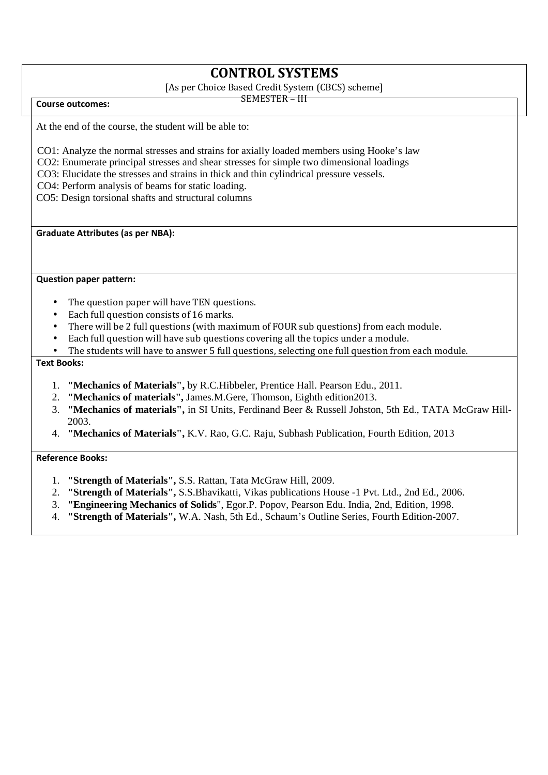# **CONTROL SYSTEMS**

[As per Choice Based Credit System (CBCS) scheme]

SEMESTER – III

**Course outcomes:** 

At the end of the course, the student will be able to:

- CO1: Analyze the normal stresses and strains for axially loaded members using Hooke's law
- CO2: Enumerate principal stresses and shear stresses for simple two dimensional loadings
- CO3: Elucidate the stresses and strains in thick and thin cylindrical pressure vessels.
- CO4: Perform analysis of beams for static loading.

CO5: Design torsional shafts and structural columns

**Graduate Attributes (as per NBA):** 

**Question paper pattern:** 

- The question paper will have TEN questions.
- Each full question consists of 16 marks.
- There will be 2 full questions (with maximum of FOUR sub questions) from each module.
- Each full question will have sub questions covering all the topics under a module.
- The students will have to answer 5 full questions, selecting one full question from each module.

### **Text Books:**

- 1. **"Mechanics of Materials",** by R.C.Hibbeler, Prentice Hall. Pearson Edu., 2011.
- 2. **"Mechanics of materials",** James.M.Gere, Thomson, Eighth edition2013.
- 3. **"Mechanics of materials",** in SI Units, Ferdinand Beer & Russell Johston, 5th Ed., TATA McGraw Hill-2003.
- 4. **"Mechanics of Materials",** K.V. Rao, G.C. Raju, Subhash Publication, Fourth Edition, 2013

**Reference Books:** 

- 1. **"Strength of Materials",** S.S. Rattan, Tata McGraw Hill, 2009.
- 2. **"Strength of Materials",** S.S.Bhavikatti, Vikas publications House -1 Pvt. Ltd., 2nd Ed., 2006.
- 3. **"Engineering Mechanics of Solids**", Egor.P. Popov, Pearson Edu. India, 2nd, Edition, 1998.
- 4. **"Strength of Materials",** W.A. Nash, 5th Ed., Schaum's Outline Series, Fourth Edition-2007.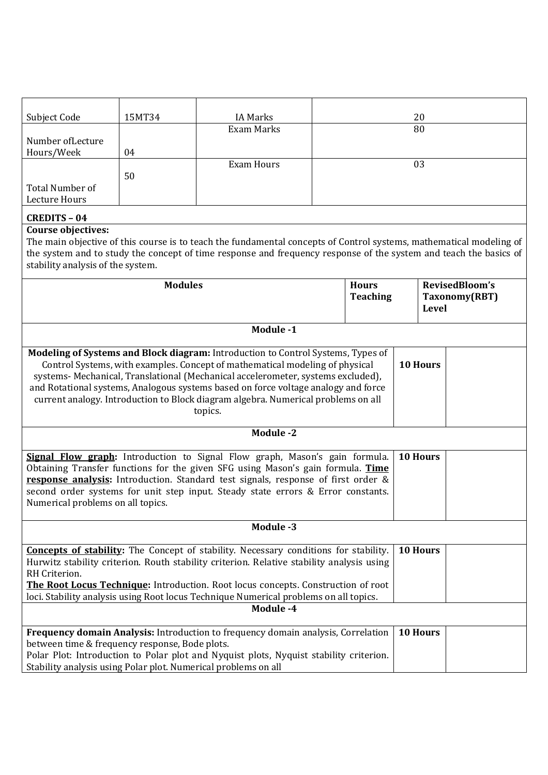| Subject Code      | 15MT34 | <b>IA Marks</b> | 20 |
|-------------------|--------|-----------------|----|
|                   |        | Exam Marks      | 80 |
| Number of Lecture |        |                 |    |
| Hours/Week        | 04     |                 |    |
|                   |        | Exam Hours      | 03 |
|                   | 50     |                 |    |
| Total Number of   |        |                 |    |
| Lecture Hours     |        |                 |    |
|                   |        |                 |    |

# **CREDITS – 04**

# **Course objectives:**

The main objective of this course is to teach the fundamental concepts of Control systems, mathematical modeling of the system and to study the concept of time response and frequency response of the system and teach the basics of stability analysis of the system.

| <b>Modules</b>                                                                                                                                                                                                                                                                                                                                                                                                                             | <b>Hours</b><br><b>Teaching</b> | RevisedBloom's<br>Taxonomy(RBT)<br><b>Level</b> |  |
|--------------------------------------------------------------------------------------------------------------------------------------------------------------------------------------------------------------------------------------------------------------------------------------------------------------------------------------------------------------------------------------------------------------------------------------------|---------------------------------|-------------------------------------------------|--|
|                                                                                                                                                                                                                                                                                                                                                                                                                                            |                                 |                                                 |  |
| Module -1                                                                                                                                                                                                                                                                                                                                                                                                                                  |                                 |                                                 |  |
| Modeling of Systems and Block diagram: Introduction to Control Systems, Types of<br>Control Systems, with examples. Concept of mathematical modeling of physical<br>systems- Mechanical, Translational (Mechanical accelerometer, systems excluded),<br>and Rotational systems, Analogous systems based on force voltage analogy and force<br>current analogy. Introduction to Block diagram algebra. Numerical problems on all<br>topics. |                                 | 10 Hours                                        |  |
| <b>Module -2</b>                                                                                                                                                                                                                                                                                                                                                                                                                           |                                 |                                                 |  |
| Signal Flow graph: Introduction to Signal Flow graph, Mason's gain formula.<br>Obtaining Transfer functions for the given SFG using Mason's gain formula. Time<br>response analysis: Introduction. Standard test signals, response of first order &<br>second order systems for unit step input. Steady state errors & Error constants.<br>Numerical problems on all topics.                                                               |                                 | 10 Hours                                        |  |
| Module -3                                                                                                                                                                                                                                                                                                                                                                                                                                  |                                 |                                                 |  |
| <b>Concepts of stability:</b> The Concept of stability. Necessary conditions for stability.<br>Hurwitz stability criterion. Routh stability criterion. Relative stability analysis using<br>RH Criterion.<br>The Root Locus Technique: Introduction. Root locus concepts. Construction of root<br>loci. Stability analysis using Root locus Technique Numerical problems on all topics.                                                    |                                 | 10 Hours                                        |  |
| Module -4                                                                                                                                                                                                                                                                                                                                                                                                                                  |                                 |                                                 |  |
| Frequency domain Analysis: Introduction to frequency domain analysis, Correlation<br>between time & frequency response, Bode plots.<br>Polar Plot: Introduction to Polar plot and Nyquist plots, Nyquist stability criterion.<br>Stability analysis using Polar plot. Numerical problems on all                                                                                                                                            |                                 | 10 Hours                                        |  |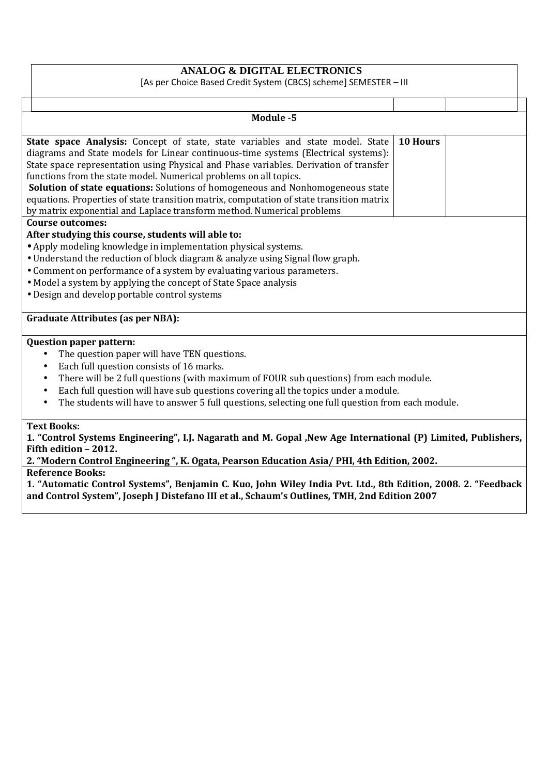# **ANALOG & DIGITAL ELECTRONICS**

[As per Choice Based Credit System (CBCS) scheme] SEMESTER – III

|                                                                                                                                                                                                                                                                                                                                                                                                                                                               | Module -5                                                                                                                                                                                                                                                                                                                                                                                                                                                                                                                                                                                                |          |  |
|---------------------------------------------------------------------------------------------------------------------------------------------------------------------------------------------------------------------------------------------------------------------------------------------------------------------------------------------------------------------------------------------------------------------------------------------------------------|----------------------------------------------------------------------------------------------------------------------------------------------------------------------------------------------------------------------------------------------------------------------------------------------------------------------------------------------------------------------------------------------------------------------------------------------------------------------------------------------------------------------------------------------------------------------------------------------------------|----------|--|
|                                                                                                                                                                                                                                                                                                                                                                                                                                                               |                                                                                                                                                                                                                                                                                                                                                                                                                                                                                                                                                                                                          |          |  |
|                                                                                                                                                                                                                                                                                                                                                                                                                                                               | <b>State space Analysis:</b> Concept of state, state variables and state model. State<br>diagrams and State models for Linear continuous-time systems (Electrical systems):<br>State space representation using Physical and Phase variables. Derivation of transfer<br>functions from the state model. Numerical problems on all topics.<br><b>Solution of state equations:</b> Solutions of homogeneous and Nonhomogeneous state<br>equations. Properties of state transition matrix, computation of state transition matrix<br>by matrix exponential and Laplace transform method. Numerical problems | 10 Hours |  |
|                                                                                                                                                                                                                                                                                                                                                                                                                                                               | <b>Course outcomes:</b>                                                                                                                                                                                                                                                                                                                                                                                                                                                                                                                                                                                  |          |  |
|                                                                                                                                                                                                                                                                                                                                                                                                                                                               | After studying this course, students will able to:<br>• Apply modeling knowledge in implementation physical systems.<br>• Understand the reduction of block diagram & analyze using Signal flow graph.<br>• Comment on performance of a system by evaluating various parameters.<br>• Model a system by applying the concept of State Space analysis<br>• Design and develop portable control systems                                                                                                                                                                                                    |          |  |
|                                                                                                                                                                                                                                                                                                                                                                                                                                                               | <b>Graduate Attributes (as per NBA):</b>                                                                                                                                                                                                                                                                                                                                                                                                                                                                                                                                                                 |          |  |
| <b>Question paper pattern:</b><br>The question paper will have TEN questions.<br>$\bullet$<br>Each full question consists of 16 marks.<br>٠<br>There will be 2 full questions (with maximum of FOUR sub questions) from each module.<br>٠<br>Each full question will have sub questions covering all the topics under a module.<br>$\bullet$<br>The students will have to answer 5 full questions, selecting one full question from each module.<br>$\bullet$ |                                                                                                                                                                                                                                                                                                                                                                                                                                                                                                                                                                                                          |          |  |
|                                                                                                                                                                                                                                                                                                                                                                                                                                                               | <b>Text Books:</b><br>1. "Control Systems Engineering", I.J. Nagarath and M. Gopal , New Age International (P) Limited, Publishers,<br>Fifth edition - 2012.<br>2. "Modern Control Engineering ", K. Ogata, Pearson Education Asia/PHI, 4th Edition, 2002.<br><b>Reference Books:</b>                                                                                                                                                                                                                                                                                                                    |          |  |

**1. "Automatic Control Systems", Benjamin C. Kuo, John Wiley India Pvt. Ltd., 8th Edition, 2008. 2. "Feedback and Control System", Joseph J Distefano III et al., Schaum's Outlines, TMH, 2nd Edition 2007**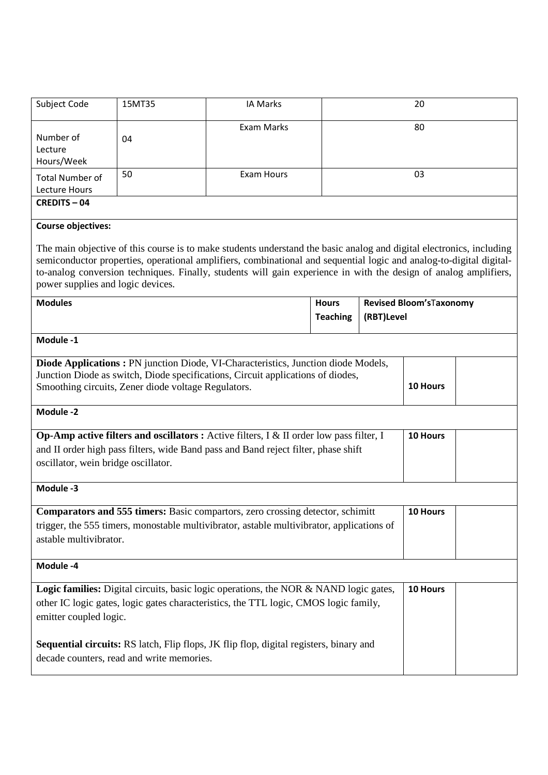| Subject Code                                                                                                                                                                                                                     | 15MT35 | <b>IA Marks</b>                                                                                                                                                                                                                                                                                                                                                 |                                 |            | 20                       |  |
|----------------------------------------------------------------------------------------------------------------------------------------------------------------------------------------------------------------------------------|--------|-----------------------------------------------------------------------------------------------------------------------------------------------------------------------------------------------------------------------------------------------------------------------------------------------------------------------------------------------------------------|---------------------------------|------------|--------------------------|--|
| Number of<br>Lecture<br>Hours/Week                                                                                                                                                                                               | 04     | Exam Marks                                                                                                                                                                                                                                                                                                                                                      |                                 |            | 80                       |  |
| <b>Total Number of</b><br>Lecture Hours                                                                                                                                                                                          | 50     | <b>Exam Hours</b>                                                                                                                                                                                                                                                                                                                                               |                                 |            | 03                       |  |
| <b>CREDITS-04</b>                                                                                                                                                                                                                |        |                                                                                                                                                                                                                                                                                                                                                                 |                                 |            |                          |  |
| <b>Course objectives:</b>                                                                                                                                                                                                        |        |                                                                                                                                                                                                                                                                                                                                                                 |                                 |            |                          |  |
| power supplies and logic devices.                                                                                                                                                                                                |        | The main objective of this course is to make students understand the basic analog and digital electronics, including<br>semiconductor properties, operational amplifiers, combinational and sequential logic and analog-to-digital digital-<br>to-analog conversion techniques. Finally, students will gain experience in with the design of analog amplifiers, |                                 |            |                          |  |
| <b>Modules</b>                                                                                                                                                                                                                   |        |                                                                                                                                                                                                                                                                                                                                                                 | <b>Hours</b><br><b>Teaching</b> | (RBT)Level | Revised Bloom's Taxonomy |  |
| Module -1                                                                                                                                                                                                                        |        |                                                                                                                                                                                                                                                                                                                                                                 |                                 |            |                          |  |
|                                                                                                                                                                                                                                  |        | <b>Diode Applications : PN</b> junction Diode, VI-Characteristics, Junction diode Models,                                                                                                                                                                                                                                                                       |                                 |            |                          |  |
| Junction Diode as switch, Diode specifications, Circuit applications of diodes,<br>10 Hours<br>Smoothing circuits, Zener diode voltage Regulators.                                                                               |        |                                                                                                                                                                                                                                                                                                                                                                 |                                 |            |                          |  |
| Module -2                                                                                                                                                                                                                        |        |                                                                                                                                                                                                                                                                                                                                                                 |                                 |            |                          |  |
| Op-Amp active filters and oscillators : Active filters, I & II order low pass filter, I<br>10 Hours<br>and II order high pass filters, wide Band pass and Band reject filter, phase shift<br>oscillator, wein bridge oscillator. |        |                                                                                                                                                                                                                                                                                                                                                                 |                                 |            |                          |  |
| Module -3                                                                                                                                                                                                                        |        |                                                                                                                                                                                                                                                                                                                                                                 |                                 |            |                          |  |
| <b>Comparators and 555 timers:</b> Basic compartors, zero crossing detector, schimitt<br>10 Hours<br>trigger, the 555 timers, monostable multivibrator, astable multivibrator, applications of<br>astable multivibrator.         |        |                                                                                                                                                                                                                                                                                                                                                                 |                                 |            |                          |  |
| Module -4                                                                                                                                                                                                                        |        |                                                                                                                                                                                                                                                                                                                                                                 |                                 |            |                          |  |
| <b>Logic families:</b> Digital circuits, basic logic operations, the NOR & NAND logic gates,<br>10 Hours<br>other IC logic gates, logic gates characteristics, the TTL logic, CMOS logic family,<br>emitter coupled logic.       |        |                                                                                                                                                                                                                                                                                                                                                                 |                                 |            |                          |  |
| Sequential circuits: RS latch, Flip flops, JK flip flop, digital registers, binary and<br>decade counters, read and write memories.                                                                                              |        |                                                                                                                                                                                                                                                                                                                                                                 |                                 |            |                          |  |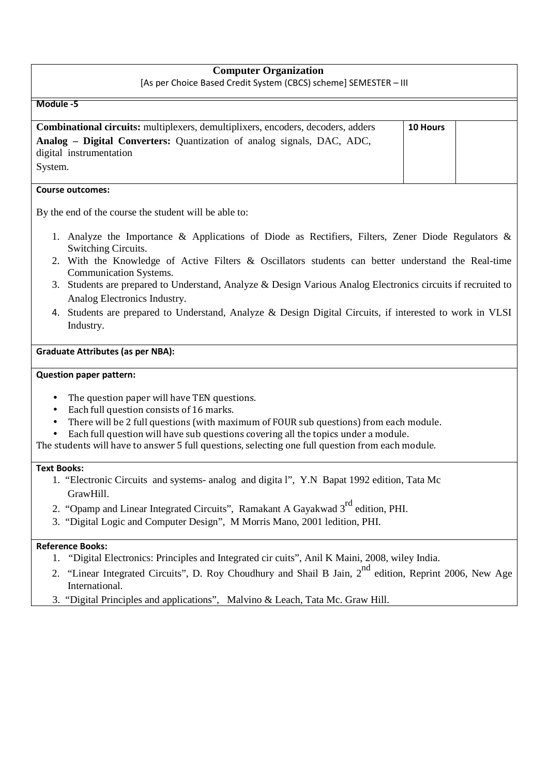# **Computer Organization**

**Module -5**

| <b>Combinational circuits:</b> multiplexers, demultiplixers, encoders, decoders, adders | <b>10 Hours</b> |  |
|-----------------------------------------------------------------------------------------|-----------------|--|
| <b>Analog – Digital Converters:</b> Quantization of analog signals, DAC, ADC,           |                 |  |
| digital instrumentation                                                                 |                 |  |
| System.                                                                                 |                 |  |

### **Course outcomes:**

By the end of the course the student will be able to:

- 1. Analyze the Importance & Applications of Diode as Rectifiers, Filters, Zener Diode Regulators & Switching Circuits.
- 2. With the Knowledge of Active Filters & Oscillators students can better understand the Real-time Communication Systems.
- 3. Students are prepared to Understand, Analyze & Design Various Analog Electronics circuits if recruited to Analog Electronics Industry.
- 4. Students are prepared to Understand, Analyze & Design Digital Circuits, if interested to work in VLSI Industry.

### **Graduate Attributes (as per NBA):**

### **Question paper pattern:**

- The question paper will have TEN questions.
- Each full question consists of 16 marks.
- There will be 2 full questions (with maximum of FOUR sub questions) from each module.

• Each full question will have sub questions covering all the topics under a module.

The students will have to answer 5 full questions, selecting one full question from each module.

### **Text Books:**

- 1. "Electronic Circuits and systems- analog and digita l", Y.N Bapat 1992 edition, Tata Mc GrawHill.
- 2. "Opamp and Linear Integrated Circuits", Ramakant A Gayakwad 3<sup>rd</sup> edition, PHI.
- 3. "Digital Logic and Computer Design", M Morris Mano, 2001 ledition, PHI.

## **Reference Books:**

- 1. "Digital Electronics: Principles and Integrated cir cuits", Anil K Maini, 2008, wiley India.
- 2. "Linear Integrated Circuits", D. Roy Choudhury and Shail B Jain, 2<sup>nd</sup> edition, Reprint 2006, New Age International.
- 3. "Digital Principles and applications", Malvino & Leach, Tata Mc. Graw Hill.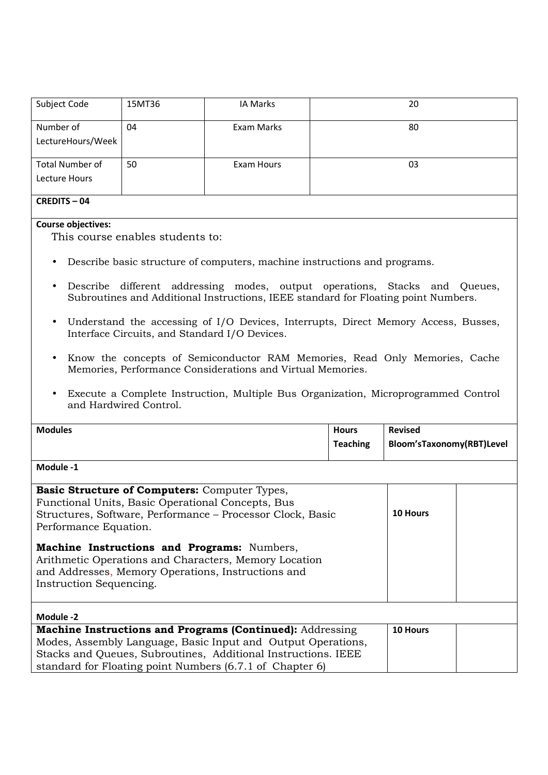| Subject Code      | 15MT36 | IA Marks   | 20 |  |
|-------------------|--------|------------|----|--|
| Number of         | 04     | Exam Marks | 80 |  |
| LectureHours/Week |        |            |    |  |
| Total Number of   | 50     | Exam Hours | 03 |  |
| Lecture Hours     |        |            |    |  |
| $\sqrt{2}$<br>ΩД. |        |            |    |  |

## **CREDITS – 04**

# **Course objectives:**

This course enables students to:

- Describe basic structure of computers, machine instructions and programs.
- Describe different addressing modes, output operations, Stacks and Queues, Subroutines and Additional Instructions, IEEE standard for Floating point Numbers.
- Understand the accessing of I/O Devices, Interrupts, Direct Memory Access, Busses, Interface Circuits, and Standard I/O Devices.
- Know the concepts of Semiconductor RAM Memories, Read Only Memories, Cache Memories, Performance Considerations and Virtual Memories.
- Execute a Complete Instruction, Multiple Bus Organization, Microprogrammed Control and Hardwired Control.

| <b>Modules</b>                                                                                                                                                                               | <b>Hours</b> | <b>Revised</b>            |  |
|----------------------------------------------------------------------------------------------------------------------------------------------------------------------------------------------|--------------|---------------------------|--|
| <b>Teaching</b>                                                                                                                                                                              |              | Bloom'sTaxonomy(RBT)Level |  |
| Module -1                                                                                                                                                                                    |              |                           |  |
| <b>Basic Structure of Computers:</b> Computer Types,                                                                                                                                         |              |                           |  |
| Functional Units, Basic Operational Concepts, Bus                                                                                                                                            |              |                           |  |
| Structures, Software, Performance – Processor Clock, Basic                                                                                                                                   | 10 Hours     |                           |  |
| Performance Equation.                                                                                                                                                                        |              |                           |  |
| <b>Machine Instructions and Programs:</b> Numbers,<br>Arithmetic Operations and Characters, Memory Location<br>and Addresses, Memory Operations, Instructions and<br>Instruction Sequencing. |              |                           |  |
| Module -2                                                                                                                                                                                    |              |                           |  |
| <b>Machine Instructions and Programs (Continued):</b> Addressing                                                                                                                             |              | 10 Hours                  |  |
| Modes, Assembly Language, Basic Input and Output Operations,                                                                                                                                 |              |                           |  |
| Stacks and Queues, Subroutines, Additional Instructions. IEEE                                                                                                                                |              |                           |  |
| standard for Floating point Numbers (6.7.1 of Chapter 6)                                                                                                                                     |              |                           |  |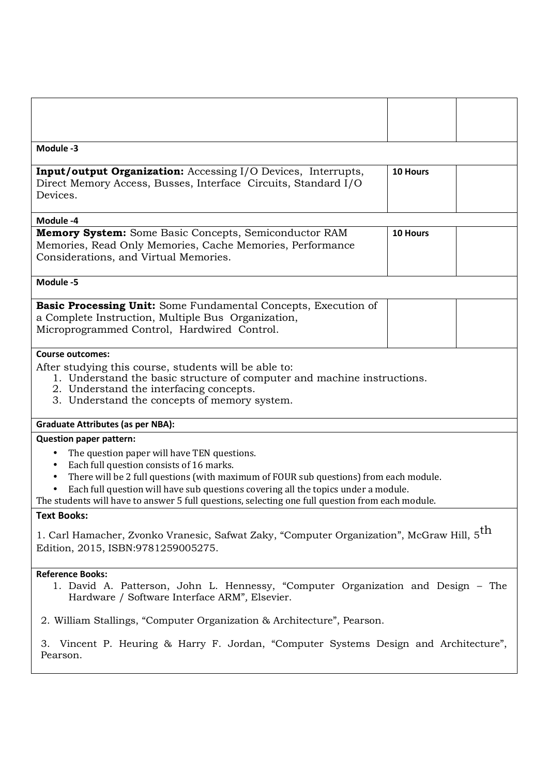| Module -3                                                                                                                                                                                                                                                                                                                                                                                                                                   |          |  |
|---------------------------------------------------------------------------------------------------------------------------------------------------------------------------------------------------------------------------------------------------------------------------------------------------------------------------------------------------------------------------------------------------------------------------------------------|----------|--|
| <b>Input/output Organization:</b> Accessing I/O Devices, Interrupts,<br>Direct Memory Access, Busses, Interface Circuits, Standard I/O<br>Devices.                                                                                                                                                                                                                                                                                          | 10 Hours |  |
| Module -4                                                                                                                                                                                                                                                                                                                                                                                                                                   |          |  |
| <b>Memory System:</b> Some Basic Concepts, Semiconductor RAM<br>Memories, Read Only Memories, Cache Memories, Performance<br>Considerations, and Virtual Memories.                                                                                                                                                                                                                                                                          | 10 Hours |  |
| Module -5                                                                                                                                                                                                                                                                                                                                                                                                                                   |          |  |
| Basic Processing Unit: Some Fundamental Concepts, Execution of<br>a Complete Instruction, Multiple Bus Organization,<br>Microprogrammed Control, Hardwired Control.                                                                                                                                                                                                                                                                         |          |  |
| <b>Course outcomes:</b><br>After studying this course, students will be able to:<br>1. Understand the basic structure of computer and machine instructions.<br>2. Understand the interfacing concepts.<br>3. Understand the concepts of memory system.                                                                                                                                                                                      |          |  |
| <b>Graduate Attributes (as per NBA):</b>                                                                                                                                                                                                                                                                                                                                                                                                    |          |  |
| <b>Question paper pattern:</b><br>The question paper will have TEN questions.<br>$\bullet$<br>Each full question consists of 16 marks.<br>$\bullet$<br>There will be 2 full questions (with maximum of FOUR sub questions) from each module.<br>٠<br>Each full question will have sub questions covering all the topics under a module.<br>The students will have to answer 5 full questions, selecting one full question from each module. |          |  |
| <b>Text Books:</b>                                                                                                                                                                                                                                                                                                                                                                                                                          |          |  |
| 1. Carl Hamacher, Zvonko Vranesic, Safwat Zaky, "Computer Organization", McGraw Hill, 5 <sup>th</sup><br>Edition, 2015, ISBN:9781259005275.                                                                                                                                                                                                                                                                                                 |          |  |
| <b>Reference Books:</b><br>1. David A. Patterson, John L. Hennessy, "Computer Organization and Design - The<br>Hardware / Software Interface ARM", Elsevier.                                                                                                                                                                                                                                                                                |          |  |
| 2. William Stallings, "Computer Organization & Architecture", Pearson.                                                                                                                                                                                                                                                                                                                                                                      |          |  |
| 3. Vincent P. Heuring & Harry F. Jordan, "Computer Systems Design and Architecture",<br>Pearson.                                                                                                                                                                                                                                                                                                                                            |          |  |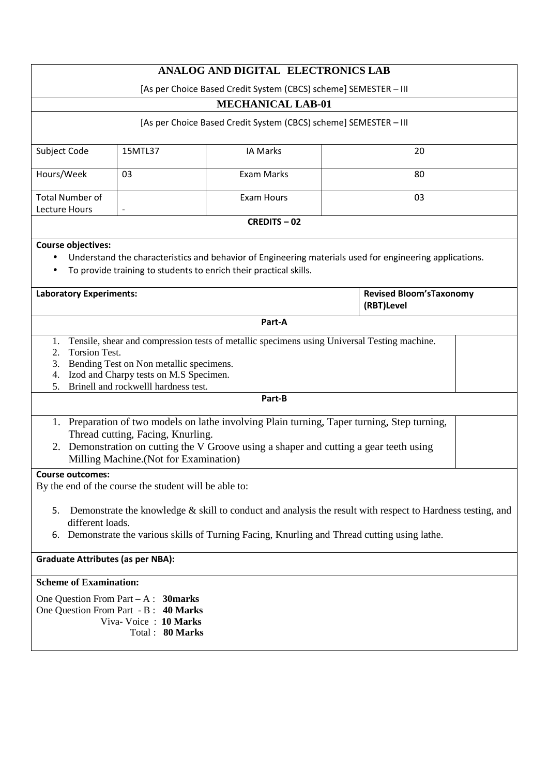|                                                                                                                                                                                                                                                                             | ANALOG AND DIGITAL ELECTRONICS LAB |                          |    |                                       |  |  |
|-----------------------------------------------------------------------------------------------------------------------------------------------------------------------------------------------------------------------------------------------------------------------------|------------------------------------|--------------------------|----|---------------------------------------|--|--|
| [As per Choice Based Credit System (CBCS) scheme] SEMESTER - III                                                                                                                                                                                                            |                                    |                          |    |                                       |  |  |
|                                                                                                                                                                                                                                                                             |                                    | <b>MECHANICAL LAB-01</b> |    |                                       |  |  |
| [As per Choice Based Credit System (CBCS) scheme] SEMESTER - III                                                                                                                                                                                                            |                                    |                          |    |                                       |  |  |
| Subject Code                                                                                                                                                                                                                                                                | 15MTL37                            | <b>IA Marks</b>          |    | 20                                    |  |  |
| Hours/Week                                                                                                                                                                                                                                                                  | 03                                 | Exam Marks               |    | 80                                    |  |  |
| <b>Total Number of</b><br>Lecture Hours                                                                                                                                                                                                                                     |                                    | <b>Exam Hours</b>        | 03 |                                       |  |  |
|                                                                                                                                                                                                                                                                             |                                    | <b>CREDITS-02</b>        |    |                                       |  |  |
|                                                                                                                                                                                                                                                                             |                                    |                          |    |                                       |  |  |
| <b>Course objectives:</b><br>Understand the characteristics and behavior of Engineering materials used for engineering applications.<br>To provide training to students to enrich their practical skills.                                                                   |                                    |                          |    |                                       |  |  |
| <b>Laboratory Experiments:</b>                                                                                                                                                                                                                                              |                                    |                          |    | Revised Bloom'sTaxonomy<br>(RBT)Level |  |  |
|                                                                                                                                                                                                                                                                             |                                    | Part-A                   |    |                                       |  |  |
| Tensile, shear and compression tests of metallic specimens using Universal Testing machine.<br>1.<br><b>Torsion Test.</b><br>2.<br>3. Bending Test on Non metallic specimens.<br>Izod and Charpy tests on M.S Specimen.<br>4.<br>Brinell and rockwelll hardness test.<br>5. |                                    |                          |    |                                       |  |  |
| Part-B                                                                                                                                                                                                                                                                      |                                    |                          |    |                                       |  |  |
| 1. Preparation of two models on lathe involving Plain turning, Taper turning, Step turning,<br>Thread cutting, Facing, Knurling.<br>2. Demonstration on cutting the V Groove using a shaper and cutting a gear teeth using<br>Milling Machine. (Not for Examination)        |                                    |                          |    |                                       |  |  |
| <b>Course outcomes:</b>                                                                                                                                                                                                                                                     |                                    |                          |    |                                       |  |  |
| By the end of the course the student will be able to:                                                                                                                                                                                                                       |                                    |                          |    |                                       |  |  |
| Demonstrate the knowledge $\&$ skill to conduct and analysis the result with respect to Hardness testing, and<br>5.<br>different loads.<br>Demonstrate the various skills of Turning Facing, Knurling and Thread cutting using lathe.<br>6.                                 |                                    |                          |    |                                       |  |  |
| <b>Graduate Attributes (as per NBA):</b>                                                                                                                                                                                                                                    |                                    |                          |    |                                       |  |  |
| <b>Scheme of Examination:</b>                                                                                                                                                                                                                                               |                                    |                          |    |                                       |  |  |
| One Question From Part $-A$ : 30 marks<br>One Question From Part - B: 40 Marks<br>Viva-Voice: 10 Marks<br>Total: 80 Marks                                                                                                                                                   |                                    |                          |    |                                       |  |  |